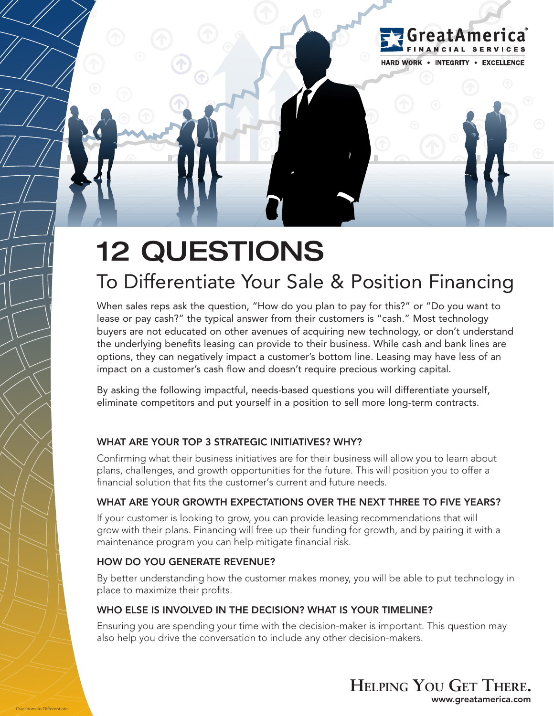

# To Differentiate Your Sale & Position Financing

When sales reps ask the question, "How do you plan to pay for this?" or "Do you want to lease or pay cash?" the typical answer from their customers is "cash." Most technology buyers are not educated on other avenues of acquiring new technology, or don't understand the underlying benefits leasing can provide to their business. While cash and bank lines are options, they can negatively impact a customer's bottom line. Leasing may have less of an impact on a customer's cash flow and doesn't require precious working capital.

By asking the following impactful, needs-based questions you will differentiate yourself, eliminate competitors and put yourself in a position to sell more long-term contracts.

# WHAT ARE YOUR TOP 3 STRATEGIC INITIATIVES? WHY?

Confirming what their business initiatives are for their business will allow you to learn about plans, challenges, and growth opportunities for the future. This will position you to offer a financial solution that fits the customer's current and future needs.

# WHAT ARE YOUR GROWTH EXPECTATIONS OVER THE NEXT THREE TO FIVE YEARS?

If your customer is looking to grow, you can provide leasing recommendations that will grow with their plans. Financing will free up their funding for growth, and by pairing it with a maintenance program you can help mitigate financial risk.

#### HOW DO YOU GENERATE REVENUE?

By better understanding how the customer makes money, you will be able to put technology in place to maximize their profits.

#### WHO ELSE IS INVOLVED IN THE DECISION? WHAT IS YOUR TIMELINE?

Ensuring you are spending your time with the decision-maker is important. This question may also help you drive the conversation to include any other decision-makers.



reatAmerica

**HARD WORK . INTEGRITY . EXCELLENCE**